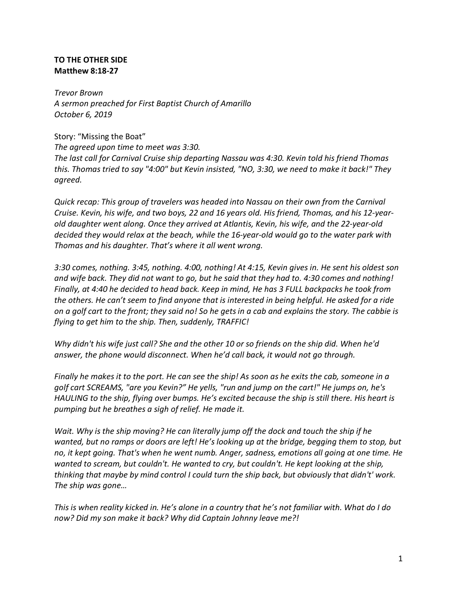### **TO THE OTHER SIDE Matthew 8:18-27**

*Trevor Brown A sermon preached for First Baptist Church of Amarillo October 6, 2019*

Story: "Missing the Boat" *The agreed upon time to meet was 3:30. The last call for Carnival Cruise ship departing Nassau was 4:30. Kevin told his friend Thomas this. Thomas tried to say "4:00" but Kevin insisted, "NO, 3:30, we need to make it back!" They agreed.*

*Quick recap: This group of travelers was headed into Nassau on their own from the Carnival Cruise. Kevin, his wife, and two boys, 22 and 16 years old. His friend, Thomas, and his 12-yearold daughter went along. Once they arrived at Atlantis, Kevin, his wife, and the 22-year-old decided they would relax at the beach, while the 16-year-old would go to the water park with Thomas and his daughter. That's where it all went wrong.*

*3:30 comes, nothing. 3:45, nothing. 4:00, nothing! At 4:15, Kevin gives in. He sent his oldest son and wife back. They did not want to go, but he said that they had to. 4:30 comes and nothing! Finally, at 4:40 he decided to head back. Keep in mind, He has 3 FULL backpacks he took from the others. He can't seem to find anyone that is interested in being helpful. He asked for a ride on a golf cart to the front; they said no! So he gets in a cab and explains the story. The cabbie is flying to get him to the ship. Then, suddenly, TRAFFIC!*

*Why didn't his wife just call? She and the other 10 or so friends on the ship did. When he'd answer, the phone would disconnect. When he'd call back, it would not go through.* 

*Finally he makes it to the port. He can see the ship! As soon as he exits the cab, someone in a golf cart SCREAMS, "are you Kevin?" He yells, "run and jump on the cart!" He jumps on, he's HAULING to the ship, flying over bumps. He's excited because the ship is still there. His heart is pumping but he breathes a sigh of relief. He made it.* 

*Wait. Why is the ship moving? He can literally jump off the dock and touch the ship if he wanted, but no ramps or doors are left! He's looking up at the bridge, begging them to stop, but no, it kept going. That's when he went numb. Anger, sadness, emotions all going at one time. He wanted to scream, but couldn't. He wanted to cry, but couldn't. He kept looking at the ship, thinking that maybe by mind control I could turn the ship back, but obviously that didn't' work. The ship was gone…*

*This is when reality kicked in. He's alone in a country that he's not familiar with. What do I do now? Did my son make it back? Why did Captain Johnny leave me?!*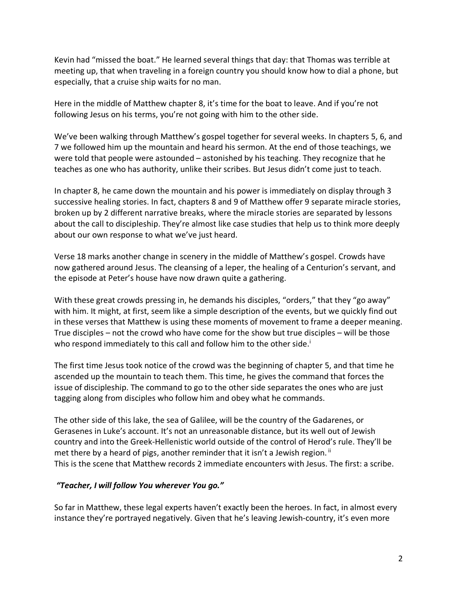Kevin had "missed the boat." He learned several things that day: that Thomas was terrible at meeting up, that when traveling in a foreign country you should know how to dial a phone, but especially, that a cruise ship waits for no man.

Here in the middle of Matthew chapter 8, it's time for the boat to leave. And if you're not following Jesus on his terms, you're not going with him to the other side.

We've been walking through Matthew's gospel together for several weeks. In chapters 5, 6, and 7 we followed him up the mountain and heard his sermon. At the end of those teachings, we were told that people were astounded – astonished by his teaching. They recognize that he teaches as one who has authority, unlike their scribes. But Jesus didn't come just to teach.

In chapter 8, he came down the mountain and his power is immediately on display through 3 successive healing stories. In fact, chapters 8 and 9 of Matthew offer 9 separate miracle stories, broken up by 2 different narrative breaks, where the miracle stories are separated by lessons about the call to discipleship. They're almost like case studies that help us to think more deeply about our own response to what we've just heard.

Verse 18 marks another change in scenery in the middle of Matthew's gospel. Crowds have now gathered around Jesus. The cleansing of a leper, the healing of a Centurion's servant, and the episode at Peter's house have now drawn quite a gathering.

With these great crowds pressing in, he demands his disciples, "orders," that they "go away" with him. It might, at first, seem like a simple description of the events, but we quickly find out in these verses that Matthew is using these moments of movement to frame a deeper meaning. True disciples – not the crowd who have come for the show but true disciples – will be those who respond immediately to this call and follow him to the other side.<sup>i</sup>

The first time Jesus took notice of the crowd was the beginning of chapter 5, and that time he ascended up the mountain to teach them. This time, he gives the command that forces the issue of discipleship. The command to go to the other side separates the ones who are just tagging along from disciples who follow him and obey what he commands.

The other side of this lake, the sea of Galilee, will be the country of the Gadarenes, or Gerasenes in Luke's account. It's not an unreasonable distance, but its well out of Jewish country and into the Greek-Hellenistic world outside of the control of Herod's rule. They'll be met there by a heard of pigs, another reminder that it isn't a Jewish region.  $\mathbb{I}$ This is the scene that Matthew records 2 immediate encounters with Jesus. The first: a scribe.

#### *"Teacher, I will follow You wherever You go."*

So far in Matthew, these legal experts haven't exactly been the heroes. In fact, in almost every instance they're portrayed negatively. Given that he's leaving Jewish-country, it's even more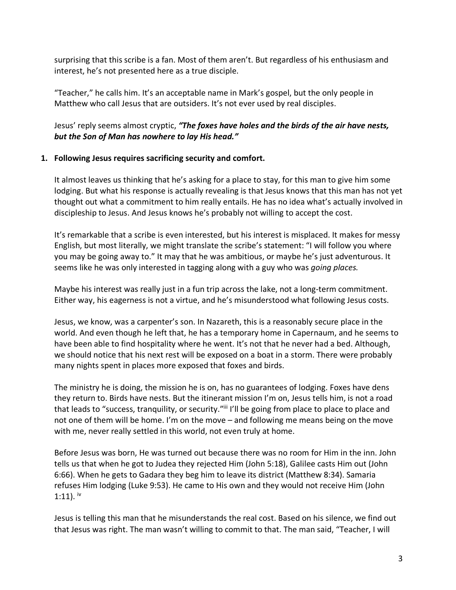surprising that this scribe is a fan. Most of them aren't. But regardless of his enthusiasm and interest, he's not presented here as a true disciple.

"Teacher," he calls him. It's an acceptable name in Mark's gospel, but the only people in Matthew who call Jesus that are outsiders. It's not ever used by real disciples.

Jesus' reply seems almost cryptic, *"The foxes have holes and the birds of the air have nests, but the Son of Man has nowhere to lay His head."*

## **1. Following Jesus requires sacrificing security and comfort.**

It almost leaves us thinking that he's asking for a place to stay, for this man to give him some lodging. But what his response is actually revealing is that Jesus knows that this man has not yet thought out what a commitment to him really entails. He has no idea what's actually involved in discipleship to Jesus. And Jesus knows he's probably not willing to accept the cost.

It's remarkable that a scribe is even interested, but his interest is misplaced. It makes for messy English, but most literally, we might translate the scribe's statement: "I will follow you where you may be going away to." It may that he was ambitious, or maybe he's just adventurous. It seems like he was only interested in tagging along with a guy who was *going places.*

Maybe his interest was really just in a fun trip across the lake, not a long-term commitment. Either way, his eagerness is not a virtue, and he's misunderstood what following Jesus costs.

Jesus, we know, was a carpenter's son. In Nazareth, this is a reasonably secure place in the world. And even though he left that, he has a temporary home in Capernaum, and he seems to have been able to find hospitality where he went. It's not that he never had a bed. Although, we should notice that his next rest will be exposed on a boat in a storm. There were probably many nights spent in places more exposed that foxes and birds.

The ministry he is doing, the mission he is on, has no guarantees of lodging. Foxes have dens they return to. Birds have nests. But the itinerant mission I'm on, Jesus tells him, is not a road that leads to "success, tranquility, or security."iii I'll be going from place to place to place and not one of them will be home. I'm on the move – and following me means being on the move with me, never really settled in this world, not even truly at home.

Before Jesus was born, He was turned out because there was no room for Him in the inn. John tells us that when he got to Judea they rejected Him (John 5:18), Galilee casts Him out (John 6:66). When he gets to Gadara they beg him to leave its district (Matthew 8:34). Samaria refuses Him lodging (Luke 9:53). He came to His own and they would not receive Him (John 1:11).  $iv$ 

Jesus is telling this man that he misunderstands the real cost. Based on his silence, we find out that Jesus was right. The man wasn't willing to commit to that. The man said, "Teacher, I will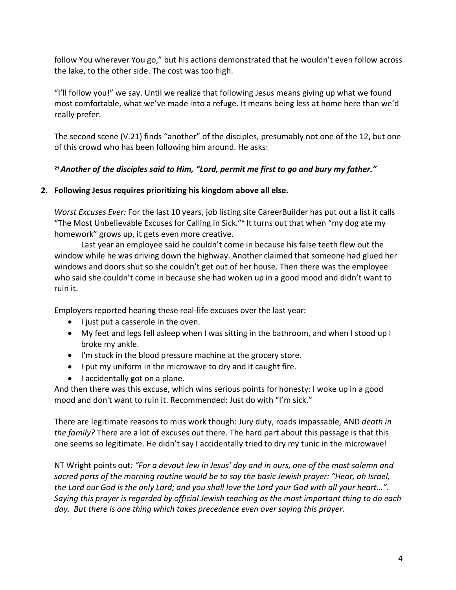follow You wherever You go," but his actions demonstrated that he wouldn't even follow across the lake, to the other side. The cost was too high.

"I'll follow you!" we say. Until we realize that following Jesus means giving up what we found most comfortable, what we've made into a refuge. It means being less at home here than we'd really prefer.

The second scene (V.21) finds "another" of the disciples, presumably not one of the 12, but one of this crowd who has been following him around. He asks:

## *<sup>21</sup>Another of the disciples said to Him, "Lord, permit me first to go and bury my father."*

### **2. Following Jesus requires prioritizing his kingdom above all else.**

*Worst Excuses Ever:* For the last 10 years, job listing site CareerBuilder has put out a list it calls "The Most Unbelievable Excuses for Calling in Sick." It turns out that when "my dog ate my homework" grows up, it gets even more creative.

Last year an employee said he couldn't come in because his false teeth flew out the window while he was driving down the highway. Another claimed that someone had glued her windows and doors shut so she couldn't get out of her house. Then there was the employee who said she couldn't come in because she had woken up in a good mood and didn't want to ruin it.

Employers reported hearing these real-life excuses over the last year:

- I just put a casserole in the oven.
- My feet and legs fell asleep when I was sitting in the bathroom, and when I stood up I broke my ankle.
- I'm stuck in the blood pressure machine at the grocery store.
- I put my uniform in the microwave to dry and it caught fire.
- I accidentally got on a plane.

And then there was this excuse, which wins serious points for honesty: I woke up in a good mood and don't want to ruin it. Recommended: Just do with "I'm sick."

There are legitimate reasons to miss work though: Jury duty, roads impassable, AND *death in the family?* There are a lot of excuses out there. The hard part about this passage is that this one seems so legitimate. He didn't say I accidentally tried to dry my tunic in the microwave!

NT Wright points out*: "For a devout Jew in Jesus' day and in ours, one of the most solemn and sacred parts of the morning routine would be to say the basic Jewish prayer: "Hear, oh Israel, the Lord our God is the only Lord; and you shall love the Lord your God with all your heart…". Saying this prayer is regarded by official Jewish teaching as the most important thing to do each day. But there is one thing which takes precedence even over saying this prayer.*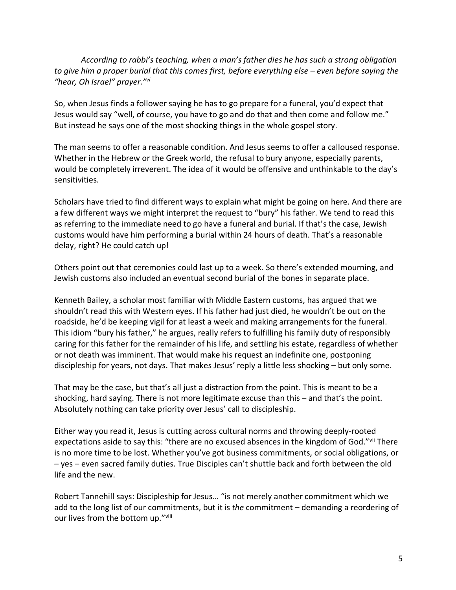*According to rabbi's teaching, when a man's father dies he has such a strong obligation to give him a proper burial that this comes first, before everything else – even before saying the "hear, Oh Israel" prayer."vi*

So, when Jesus finds a follower saying he has to go prepare for a funeral, you'd expect that Jesus would say "well, of course, you have to go and do that and then come and follow me." But instead he says one of the most shocking things in the whole gospel story.

The man seems to offer a reasonable condition. And Jesus seems to offer a calloused response. Whether in the Hebrew or the Greek world, the refusal to bury anyone, especially parents, would be completely irreverent. The idea of it would be offensive and unthinkable to the day's sensitivities.

Scholars have tried to find different ways to explain what might be going on here. And there are a few different ways we might interpret the request to "bury" his father. We tend to read this as referring to the immediate need to go have a funeral and burial. If that's the case, Jewish customs would have him performing a burial within 24 hours of death. That's a reasonable delay, right? He could catch up!

Others point out that ceremonies could last up to a week. So there's extended mourning, and Jewish customs also included an eventual second burial of the bones in separate place.

Kenneth Bailey, a scholar most familiar with Middle Eastern customs, has argued that we shouldn't read this with Western eyes. If his father had just died, he wouldn't be out on the roadside, he'd be keeping vigil for at least a week and making arrangements for the funeral. This idiom "bury his father," he argues, really refers to fulfilling his family duty of responsibly caring for this father for the remainder of his life, and settling his estate, regardless of whether or not death was imminent. That would make his request an indefinite one, postponing discipleship for years, not days. That makes Jesus' reply a little less shocking – but only some.

That may be the case, but that's all just a distraction from the point. This is meant to be a shocking, hard saying. There is not more legitimate excuse than this – and that's the point. Absolutely nothing can take priority over Jesus' call to discipleship.

Either way you read it, Jesus is cutting across cultural norms and throwing deeply-rooted expectations aside to say this: "there are no excused absences in the kingdom of God."<sup>vii</sup> There is no more time to be lost. Whether you've got business commitments, or social obligations, or – yes – even sacred family duties. True Disciples can't shuttle back and forth between the old life and the new.

Robert Tannehill says: Discipleship for Jesus… "is not merely another commitment which we add to the long list of our commitments, but it is *the* commitment – demanding a reordering of our lives from the bottom up."vill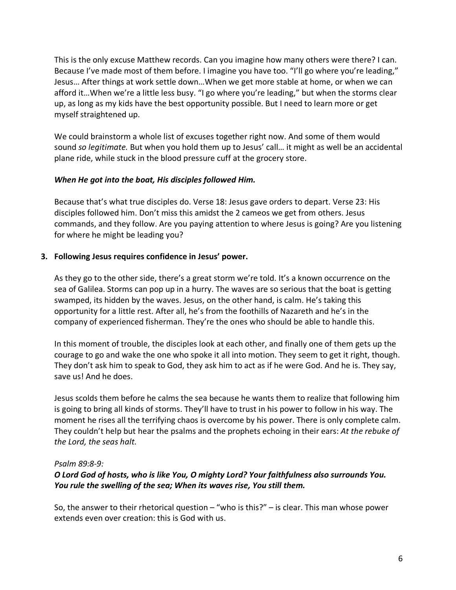This is the only excuse Matthew records. Can you imagine how many others were there? I can. Because I've made most of them before. I imagine you have too. "I'll go where you're leading," Jesus… After things at work settle down…When we get more stable at home, or when we can afford it…When we're a little less busy. "I go where you're leading," but when the storms clear up, as long as my kids have the best opportunity possible. But I need to learn more or get myself straightened up.

We could brainstorm a whole list of excuses together right now. And some of them would sound *so legitimate.* But when you hold them up to Jesus' call… it might as well be an accidental plane ride, while stuck in the blood pressure cuff at the grocery store.

### *When He got into the boat, His disciples followed Him.*

Because that's what true disciples do. Verse 18: Jesus gave orders to depart. Verse 23: His disciples followed him. Don't miss this amidst the 2 cameos we get from others. Jesus commands, and they follow. Are you paying attention to where Jesus is going? Are you listening for where he might be leading you?

## **3. Following Jesus requires confidence in Jesus' power.**

As they go to the other side, there's a great storm we're told. It's a known occurrence on the sea of Galilea. Storms can pop up in a hurry. The waves are so serious that the boat is getting swamped, its hidden by the waves. Jesus, on the other hand, is calm. He's taking this opportunity for a little rest. After all, he's from the foothills of Nazareth and he's in the company of experienced fisherman. They're the ones who should be able to handle this.

In this moment of trouble, the disciples look at each other, and finally one of them gets up the courage to go and wake the one who spoke it all into motion. They seem to get it right, though. They don't ask him to speak to God, they ask him to act as if he were God. And he is. They say, save us! And he does.

Jesus scolds them before he calms the sea because he wants them to realize that following him is going to bring all kinds of storms. They'll have to trust in his power to follow in his way. The moment he rises all the terrifying chaos is overcome by his power. There is only complete calm. They couldn't help but hear the psalms and the prophets echoing in their ears: *At the rebuke of the Lord, the seas halt.*

## *Psalm 89:8-9:*

# *O Lord God of hosts, who is like You, O mighty Lord? Your faithfulness also surrounds You. You rule the swelling of the sea; When its waves rise, You still them.*

So, the answer to their rhetorical question – "who is this?" – is clear. This man whose power extends even over creation: this is God with us.